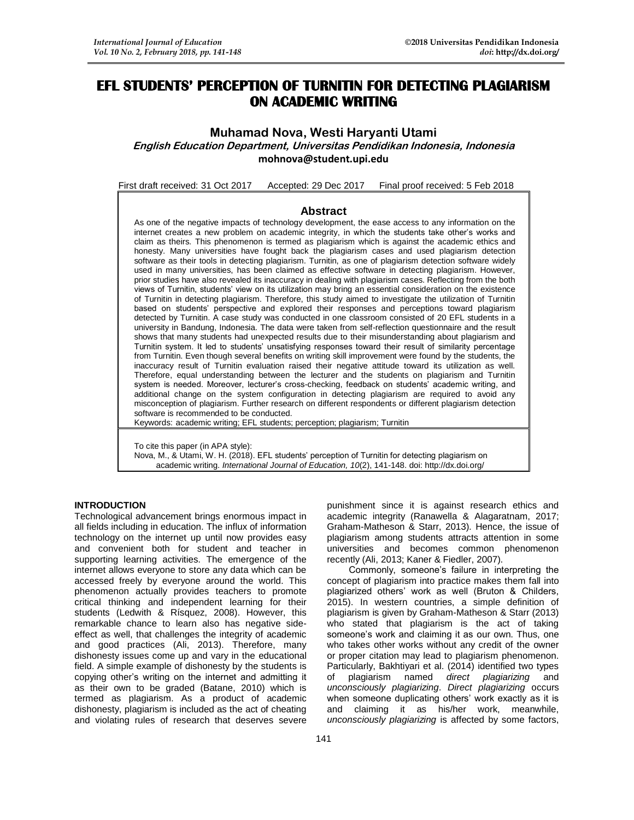# **EFL STUDENTS' PERCEPTION OF TURNITIN FOR DETECTING PLAGIARISM ON ACADEMIC WRITING**

## **Muhamad Nova, Westi Haryanti Utami English Education Department, Universitas Pendidikan Indonesia, Indonesia [mohnova@student.upi.edu](mailto:mohnova@student.upi.edu)**

First draft received: 31 Oct 2017 Accepted: 29 Dec 2017 Final proof received: 5 Feb 2018

## **Abstract**

As one of the negative impacts of technology development, the ease access to any information on the internet creates a new problem on academic integrity, in which the students take other's works and claim as theirs. This phenomenon is termed as plagiarism which is against the academic ethics and honesty. Many universities have fought back the plagiarism cases and used plagiarism detection software as their tools in detecting plagiarism. Turnitin, as one of plagiarism detection software widely used in many universities, has been claimed as effective software in detecting plagiarism. However, prior studies have also revealed its inaccuracy in dealing with plagiarism cases. Reflecting from the both views of Turnitin, students' view on its utilization may bring an essential consideration on the existence of Turnitin in detecting plagiarism. Therefore, this study aimed to investigate the utilization of Turnitin based on students' perspective and explored their responses and perceptions toward plagiarism detected by Turnitin. A case study was conducted in one classroom consisted of 20 EFL students in a university in Bandung, Indonesia. The data were taken from self-reflection questionnaire and the result shows that many students had unexpected results due to their misunderstanding about plagiarism and Turnitin system. It led to students' unsatisfying responses toward their result of similarity percentage from Turnitin. Even though several benefits on writing skill improvement were found by the students, the inaccuracy result of Turnitin evaluation raised their negative attitude toward its utilization as well. Therefore, equal understanding between the lecturer and the students on plagiarism and Turnitin system is needed. Moreover, lecturer's cross-checking, feedback on students' academic writing, and additional change on the system configuration in detecting plagiarism are required to avoid any misconception of plagiarism. Further research on different respondents or different plagiarism detection software is recommended to be conducted.

Keywords: academic writing; EFL students; perception; plagiarism; Turnitin

To cite this paper (in APA style):

Nova, M., & Utami, W. H. (2018). EFL students' perception of Turnitin for detecting plagiarism on academic writing. *International Journal of Education, 10*(2), 141-148. doi: http://dx.doi.org/

#### **INTRODUCTION**

Technological advancement brings enormous impact in all fields including in education. The influx of information technology on the internet up until now provides easy and convenient both for student and teacher in supporting learning activities. The emergence of the internet allows everyone to store any data which can be accessed freely by everyone around the world. This phenomenon actually provides teachers to promote critical thinking and independent learning for their students (Ledwith & Rísquez, 2008). However, this remarkable chance to learn also has negative sideeffect as well, that challenges the integrity of academic and good practices (Ali, 2013). Therefore, many dishonesty issues come up and vary in the educational field. A simple example of dishonesty by the students is copying other's writing on the internet and admitting it as their own to be graded (Batane, 2010) which is termed as plagiarism. As a product of academic dishonesty, plagiarism is included as the act of cheating and violating rules of research that deserves severe

punishment since it is against research ethics and academic integrity (Ranawella & Alagaratnam, 2017; Graham-Matheson & Starr, 2013). Hence, the issue of plagiarism among students attracts attention in some universities and becomes common phenomenon recently (Ali, 2013; Kaner & Fiedler, 2007).

Commonly, someone's failure in interpreting the concept of plagiarism into practice makes them fall into plagiarized others' work as well (Bruton & Childers, 2015). In western countries, a simple definition of plagiarism is given by Graham-Matheson & Starr (2013) who stated that plagiarism is the act of taking someone's work and claiming it as our own. Thus, one who takes other works without any credit of the owner or proper citation may lead to plagiarism phenomenon. Particularly, Bakhtiyari et al. (2014) identified two types of plagiarism named *direct plagiarizing* and *unconsciously plagiarizing*. *Direct plagiarizing* occurs when someone duplicating others' work exactly as it is and claiming it as his/her work, meanwhile, *unconsciously plagiarizing* is affected by some factors,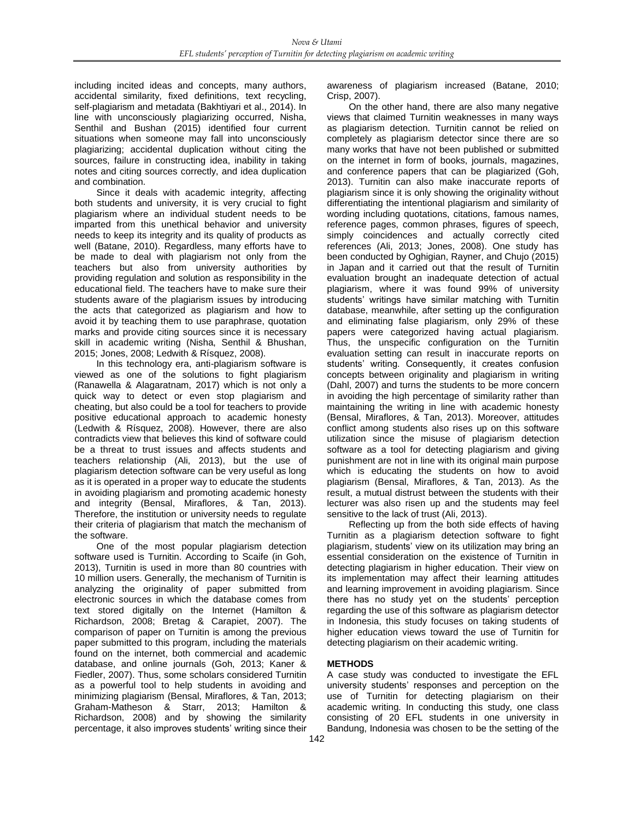including incited ideas and concepts, many authors, accidental similarity, fixed definitions, text recycling, self-plagiarism and metadata (Bakhtiyari et al., 2014). In line with unconsciously plagiarizing occurred, Nisha, Senthil and Bushan (2015) identified four current situations when someone may fall into unconsciously plagiarizing; accidental duplication without citing the sources, failure in constructing idea, inability in taking notes and citing sources correctly, and idea duplication and combination.

Since it deals with academic integrity, affecting both students and university, it is very crucial to fight plagiarism where an individual student needs to be imparted from this unethical behavior and university needs to keep its integrity and its quality of products as well (Batane, 2010). Regardless, many efforts have to be made to deal with plagiarism not only from the teachers but also from university authorities by providing regulation and solution as responsibility in the educational field. The teachers have to make sure their students aware of the plagiarism issues by introducing the acts that categorized as plagiarism and how to avoid it by teaching them to use paraphrase, quotation marks and provide citing sources since it is necessary skill in academic writing (Nisha, Senthil & Bhushan, 2015; Jones, 2008; Ledwith & Rísquez, 2008).

In this technology era, anti-plagiarism software is viewed as one of the solutions to fight plagiarism (Ranawella & Alagaratnam, 2017) which is not only a quick way to detect or even stop plagiarism and cheating, but also could be a tool for teachers to provide positive educational approach to academic honesty (Ledwith & Rísquez, 2008). However, there are also contradicts view that believes this kind of software could be a threat to trust issues and affects students and teachers relationship (Ali, 2013), but the use of plagiarism detection software can be very useful as long as it is operated in a proper way to educate the students in avoiding plagiarism and promoting academic honesty and integrity (Bensal, Miraflores, & Tan, 2013). Therefore, the institution or university needs to regulate their criteria of plagiarism that match the mechanism of the software.

One of the most popular plagiarism detection software used is Turnitin. According to Scaife (in Goh, 2013), Turnitin is used in more than 80 countries with 10 million users. Generally, the mechanism of Turnitin is analyzing the originality of paper submitted from electronic sources in which the database comes from text stored digitally on the Internet (Hamilton & Richardson, 2008; Bretag & Carapiet, 2007). The comparison of paper on Turnitin is among the previous paper submitted to this program, including the materials found on the internet, both commercial and academic database, and online journals (Goh, 2013; Kaner & Fiedler, 2007). Thus, some scholars considered Turnitin as a powerful tool to help students in avoiding and minimizing plagiarism (Bensal, Miraflores, & Tan, 2013; Graham-Matheson & Starr, 2013; Hamilton & Richardson, 2008) and by showing the similarity percentage, it also improves students' writing since their awareness of plagiarism increased (Batane, 2010; Crisp, 2007).

On the other hand, there are also many negative views that claimed Turnitin weaknesses in many ways as plagiarism detection. Turnitin cannot be relied on completely as plagiarism detector since there are so many works that have not been published or submitted on the internet in form of books, journals, magazines, and conference papers that can be plagiarized (Goh, 2013). Turnitin can also make inaccurate reports of plagiarism since it is only showing the originality without differentiating the intentional plagiarism and similarity of wording including quotations, citations, famous names, reference pages, common phrases, figures of speech, simply coincidences and actually correctly cited references (Ali, 2013; Jones, 2008). One study has been conducted by Oghigian, Rayner, and Chujo (2015) in Japan and it carried out that the result of Turnitin evaluation brought an inadequate detection of actual plagiarism, where it was found 99% of university students' writings have similar matching with Turnitin database, meanwhile, after setting up the configuration and eliminating false plagiarism, only 29% of these papers were categorized having actual plagiarism. Thus, the unspecific configuration on the Turnitin evaluation setting can result in inaccurate reports on students' writing. Consequently, it creates confusion concepts between originality and plagiarism in writing (Dahl, 2007) and turns the students to be more concern in avoiding the high percentage of similarity rather than maintaining the writing in line with academic honesty (Bensal, Miraflores, & Tan, 2013). Moreover, attitudes conflict among students also rises up on this software utilization since the misuse of plagiarism detection software as a tool for detecting plagiarism and giving punishment are not in line with its original main purpose which is educating the students on how to avoid plagiarism (Bensal, Miraflores, & Tan, 2013). As the result, a mutual distrust between the students with their lecturer was also risen up and the students may feel sensitive to the lack of trust (Ali, 2013).

Reflecting up from the both side effects of having Turnitin as a plagiarism detection software to fight plagiarism, students' view on its utilization may bring an essential consideration on the existence of Turnitin in detecting plagiarism in higher education. Their view on its implementation may affect their learning attitudes and learning improvement in avoiding plagiarism. Since there has no study yet on the students' perception regarding the use of this software as plagiarism detector in Indonesia, this study focuses on taking students of higher education views toward the use of Turnitin for detecting plagiarism on their academic writing.

## **METHODS**

A case study was conducted to investigate the EFL university students' responses and perception on the use of Turnitin for detecting plagiarism on their academic writing. In conducting this study, one class consisting of 20 EFL students in one university in Bandung, Indonesia was chosen to be the setting of the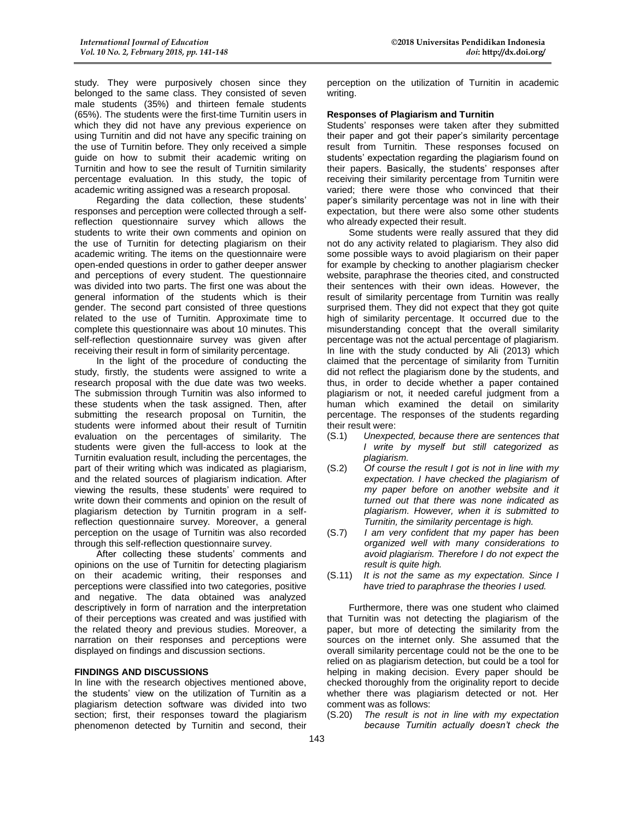study. They were purposively chosen since they belonged to the same class. They consisted of seven male students (35%) and thirteen female students (65%). The students were the first-time Turnitin users in which they did not have any previous experience on using Turnitin and did not have any specific training on the use of Turnitin before. They only received a simple guide on how to submit their academic writing on Turnitin and how to see the result of Turnitin similarity percentage evaluation. In this study, the topic of academic writing assigned was a research proposal.

Regarding the data collection, these students' responses and perception were collected through a selfreflection questionnaire survey which allows the students to write their own comments and opinion on the use of Turnitin for detecting plagiarism on their academic writing. The items on the questionnaire were open-ended questions in order to gather deeper answer and perceptions of every student. The questionnaire was divided into two parts. The first one was about the general information of the students which is their gender. The second part consisted of three questions related to the use of Turnitin. Approximate time to complete this questionnaire was about 10 minutes. This self-reflection questionnaire survey was given after receiving their result in form of similarity percentage.

In the light of the procedure of conducting the study, firstly, the students were assigned to write a research proposal with the due date was two weeks. The submission through Turnitin was also informed to these students when the task assigned. Then, after submitting the research proposal on Turnitin, the students were informed about their result of Turnitin evaluation on the percentages of similarity. The students were given the full-access to look at the Turnitin evaluation result, including the percentages, the part of their writing which was indicated as plagiarism, and the related sources of plagiarism indication. After viewing the results, these students' were required to write down their comments and opinion on the result of plagiarism detection by Turnitin program in a selfreflection questionnaire survey. Moreover, a general perception on the usage of Turnitin was also recorded through this self-reflection questionnaire survey.

After collecting these students' comments and opinions on the use of Turnitin for detecting plagiarism on their academic writing, their responses and perceptions were classified into two categories, positive and negative. The data obtained was analyzed descriptively in form of narration and the interpretation of their perceptions was created and was justified with the related theory and previous studies. Moreover, a narration on their responses and perceptions were displayed on findings and discussion sections.

#### **FINDINGS AND DISCUSSIONS**

In line with the research objectives mentioned above, the students' view on the utilization of Turnitin as a plagiarism detection software was divided into two section; first, their responses toward the plagiarism phenomenon detected by Turnitin and second, their

perception on the utilization of Turnitin in academic writing.

#### **Responses of Plagiarism and Turnitin**

Students' responses were taken after they submitted their paper and got their paper's similarity percentage result from Turnitin. These responses focused on students' expectation regarding the plagiarism found on their papers. Basically, the students' responses after receiving their similarity percentage from Turnitin were varied; there were those who convinced that their paper's similarity percentage was not in line with their expectation, but there were also some other students who already expected their result.

Some students were really assured that they did not do any activity related to plagiarism. They also did some possible ways to avoid plagiarism on their paper for example by checking to another plagiarism checker website, paraphrase the theories cited, and constructed their sentences with their own ideas. However, the result of similarity percentage from Turnitin was really surprised them. They did not expect that they got quite high of similarity percentage. It occurred due to the misunderstanding concept that the overall similarity percentage was not the actual percentage of plagiarism. In line with the study conducted by Ali (2013) which claimed that the percentage of similarity from Turnitin did not reflect the plagiarism done by the students, and thus, in order to decide whether a paper contained plagiarism or not, it needed careful judgment from a human which examined the detail on similarity percentage. The responses of the students regarding their result were:

- (S.1) *Unexpected, because there are sentences that I write by myself but still categorized as plagiarism.*
- (S.2) *Of course the result I got is not in line with my expectation. I have checked the plagiarism of my paper before on another website and it turned out that there was none indicated as plagiarism. However, when it is submitted to Turnitin, the similarity percentage is high.*
- (S.7) *I am very confident that my paper has been organized well with many considerations to avoid plagiarism. Therefore I do not expect the result is quite high.*
- (S.11) *It is not the same as my expectation. Since I have tried to paraphrase the theories I used.*

Furthermore, there was one student who claimed that Turnitin was not detecting the plagiarism of the paper, but more of detecting the similarity from the sources on the internet only. She assumed that the overall similarity percentage could not be the one to be relied on as plagiarism detection, but could be a tool for helping in making decision. Every paper should be checked thoroughly from the originality report to decide whether there was plagiarism detected or not. Her comment was as follows:

(S.20) *The result is not in line with my expectation because Turnitin actually doesn't check the*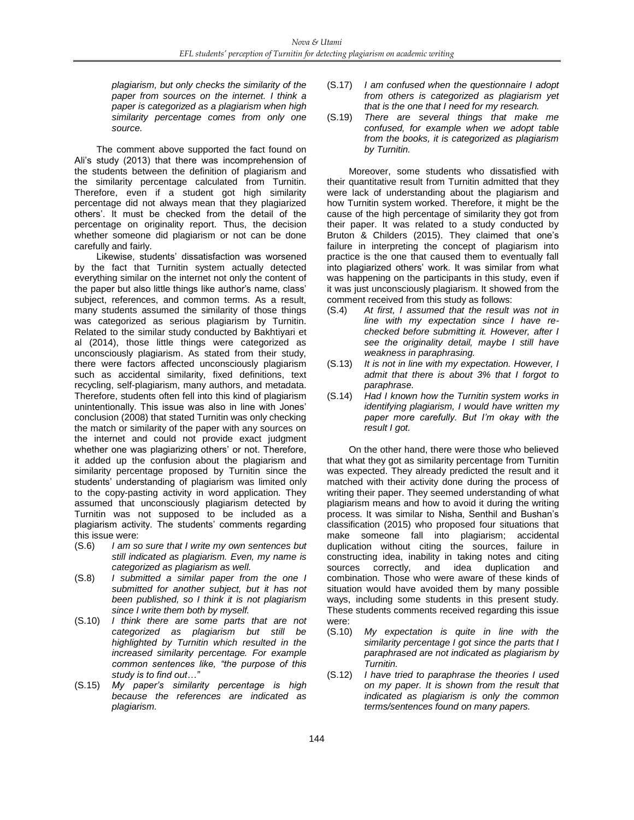*plagiarism, but only checks the similarity of the paper from sources on the internet. I think a paper is categorized as a plagiarism when high similarity percentage comes from only one source.*

The comment above supported the fact found on Ali's study (2013) that there was incomprehension of the students between the definition of plagiarism and the similarity percentage calculated from Turnitin. Therefore, even if a student got high similarity percentage did not always mean that they plagiarized others'. It must be checked from the detail of the percentage on originality report. Thus, the decision whether someone did plagiarism or not can be done carefully and fairly.

Likewise, students' dissatisfaction was worsened by the fact that Turnitin system actually detected everything similar on the internet not only the content of the paper but also little things like author's name, class' subject, references, and common terms. As a result, many students assumed the similarity of those things was categorized as serious plagiarism by Turnitin. Related to the similar study conducted by Bakhtiyari et al (2014), those little things were categorized as unconsciously plagiarism. As stated from their study, there were factors affected unconsciously plagiarism such as accidental similarity, fixed definitions, text recycling, self-plagiarism, many authors, and metadata. Therefore, students often fell into this kind of plagiarism unintentionally. This issue was also in line with Jones' conclusion (2008) that stated Turnitin was only checking the match or similarity of the paper with any sources on the internet and could not provide exact judgment whether one was plagiarizing others' or not. Therefore, it added up the confusion about the plagiarism and similarity percentage proposed by Turnitin since the students' understanding of plagiarism was limited only to the copy-pasting activity in word application. They assumed that unconsciously plagiarism detected by Turnitin was not supposed to be included as a plagiarism activity. The students' comments regarding this issue were:

- (S.6) *I am so sure that I write my own sentences but still indicated as plagiarism. Even, my name is categorized as plagiarism as well.*
- (S.8) *I submitted a similar paper from the one I submitted for another subject, but it has not been published, so I think it is not plagiarism since I write them both by myself.*
- (S.10) *I think there are some parts that are not categorized as plagiarism but still be highlighted by Turnitin which resulted in the increased similarity percentage. For example common sentences like, "the purpose of this study is to find out…"*
- (S.15) *My paper's similarity percentage is high because the references are indicated as plagiarism.*
- (S.17) *I am confused when the questionnaire I adopt from others is categorized as plagiarism yet that is the one that I need for my research.*
- (S.19) *There are several things that make me confused, for example when we adopt table from the books, it is categorized as plagiarism by Turnitin.*

Moreover, some students who dissatisfied with their quantitative result from Turnitin admitted that they were lack of understanding about the plagiarism and how Turnitin system worked. Therefore, it might be the cause of the high percentage of similarity they got from their paper. It was related to a study conducted by Bruton & Childers (2015). They claimed that one's failure in interpreting the concept of plagiarism into practice is the one that caused them to eventually fall into plagiarized others' work. It was similar from what was happening on the participants in this study, even if it was just unconsciously plagiarism. It showed from the comment received from this study as follows:

- (S.4) *At first, I assumed that the result was not in line with my expectation since I have rechecked before submitting it. However, after I see the originality detail, maybe I still have weakness in paraphrasing.*
- (S.13) *It is not in line with my expectation. However, I admit that there is about 3% that I forgot to paraphrase.*
- (S.14) *Had I known how the Turnitin system works in identifying plagiarism, I would have written my paper more carefully. But I'm okay with the result I got.*

On the other hand, there were those who believed that what they got as similarity percentage from Turnitin was expected. They already predicted the result and it matched with their activity done during the process of writing their paper. They seemed understanding of what plagiarism means and how to avoid it during the writing process. It was similar to Nisha, Senthil and Bushan's classification (2015) who proposed four situations that make someone fall into plagiarism; accidental duplication without citing the sources, failure in constructing idea, inability in taking notes and citing sources correctly, and idea duplication and combination. Those who were aware of these kinds of situation would have avoided them by many possible ways, including some students in this present study. These students comments received regarding this issue were:

- (S.10) *My expectation is quite in line with the similarity percentage I got since the parts that I paraphrased are not indicated as plagiarism by Turnitin.*
- (S.12) *I have tried to paraphrase the theories I used on my paper. It is shown from the result that indicated as plagiarism is only the common terms/sentences found on many papers.*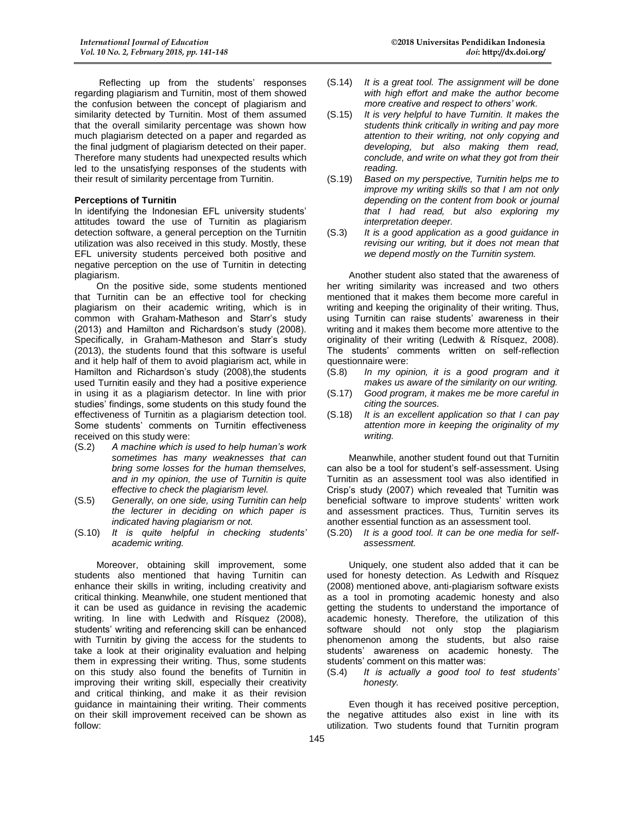Reflecting up from the students' responses regarding plagiarism and Turnitin, most of them showed the confusion between the concept of plagiarism and similarity detected by Turnitin. Most of them assumed that the overall similarity percentage was shown how much plagiarism detected on a paper and regarded as the final judgment of plagiarism detected on their paper. Therefore many students had unexpected results which led to the unsatisfying responses of the students with their result of similarity percentage from Turnitin.

#### **Perceptions of Turnitin**

In identifying the Indonesian EFL university students' attitudes toward the use of Turnitin as plagiarism detection software, a general perception on the Turnitin utilization was also received in this study. Mostly, these EFL university students perceived both positive and negative perception on the use of Turnitin in detecting plagiarism.

On the positive side, some students mentioned that Turnitin can be an effective tool for checking plagiarism on their academic writing, which is in common with Graham-Matheson and Starr's study (2013) and Hamilton and Richardson's study (2008). Specifically, in Graham-Matheson and Starr's study (2013), the students found that this software is useful and it help half of them to avoid plagiarism act, while in Hamilton and Richardson's study (2008),the students used Turnitin easily and they had a positive experience in using it as a plagiarism detector. In line with prior studies' findings, some students on this study found the effectiveness of Turnitin as a plagiarism detection tool. Some students' comments on Turnitin effectiveness received on this study were:

- (S.2) *A machine which is used to help human's work sometimes has many weaknesses that can bring some losses for the human themselves, and in my opinion, the use of Turnitin is quite effective to check the plagiarism level.*
- (S.5) *Generally, on one side, using Turnitin can help the lecturer in deciding on which paper is indicated having plagiarism or not.*
- (S.10) *It is quite helpful in checking students' academic writing.*

Moreover, obtaining skill improvement, some students also mentioned that having Turnitin can enhance their skills in writing, including creativity and critical thinking. Meanwhile, one student mentioned that it can be used as guidance in revising the academic writing. In line with Ledwith and Rísquez (2008), students' writing and referencing skill can be enhanced with Turnitin by giving the access for the students to take a look at their originality evaluation and helping them in expressing their writing. Thus, some students on this study also found the benefits of Turnitin in improving their writing skill, especially their creativity and critical thinking, and make it as their revision guidance in maintaining their writing. Their comments on their skill improvement received can be shown as follow:

- (S.14) *It is a great tool. The assignment will be done with high effort and make the author become more creative and respect to others' work.*
- (S.15) *It is very helpful to have Turnitin. It makes the students think critically in writing and pay more attention to their writing, not only copying and developing, but also making them read, conclude, and write on what they got from their reading.*
- (S.19) *Based on my perspective, Turnitin helps me to improve my writing skills so that I am not only depending on the content from book or journal that I had read, but also exploring my interpretation deeper.*
- (S.3) *It is a good application as a good guidance in revising our writing, but it does not mean that we depend mostly on the Turnitin system.*

Another student also stated that the awareness of her writing similarity was increased and two others mentioned that it makes them become more careful in writing and keeping the originality of their writing. Thus, using Turnitin can raise students' awareness in their writing and it makes them become more attentive to the originality of their writing (Ledwith & Rísquez, 2008). The students' comments written on self-reflection questionnaire were:

- (S.8) *In my opinion, it is a good program and it makes us aware of the similarity on our writing.*
- (S.17) *Good program, it makes me be more careful in citing the sources.*
- (S.18) *It is an excellent application so that I can pay attention more in keeping the originality of my writing.*

Meanwhile, another student found out that Turnitin can also be a tool for student's self-assessment. Using Turnitin as an assessment tool was also identified in Crisp's study (2007) which revealed that Turnitin was beneficial software to improve students' written work and assessment practices. Thus, Turnitin serves its another essential function as an assessment tool.

(S.20) *It is a good tool. It can be one media for selfassessment.*

Uniquely, one student also added that it can be used for honesty detection. As Ledwith and Rísquez (2008) mentioned above, anti-plagiarism software exists as a tool in promoting academic honesty and also getting the students to understand the importance of academic honesty. Therefore, the utilization of this software should not only stop the plagiarism phenomenon among the students, but also raise students' awareness on academic honesty. The students' comment on this matter was:

(S.4) *It is actually a good tool to test students' honesty.*

Even though it has received positive perception, the negative attitudes also exist in line with its utilization. Two students found that Turnitin program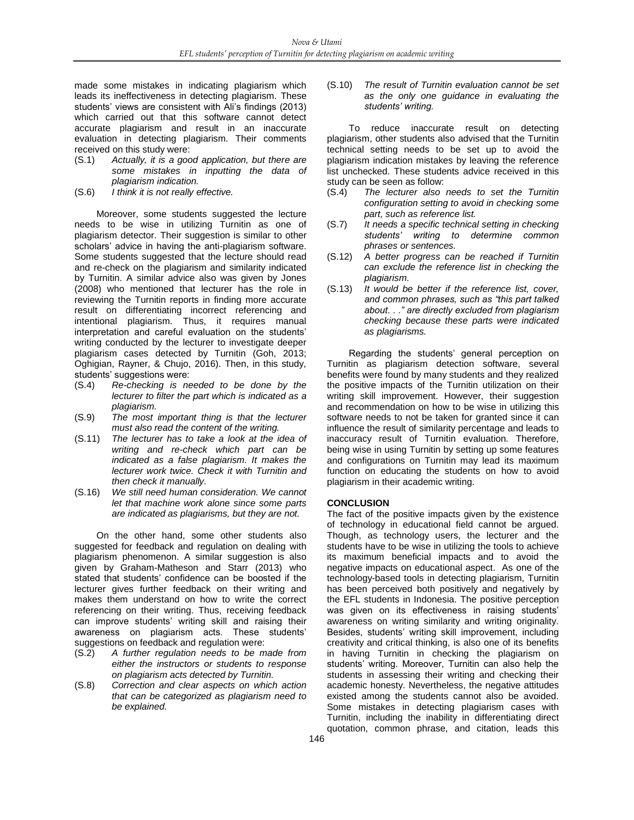made some mistakes in indicating plagiarism which leads its ineffectiveness in detecting plagiarism. These students' views are consistent with Ali's findings (2013) which carried out that this software cannot detect accurate plagiarism and result in an inaccurate evaluation in detecting plagiarism. Their comments received on this study were:

- (S.1) *Actually, it is a good application, but there are some mistakes in inputting the data of plagiarism indication.*
- (S.6) *I think it is not really effective.*

Moreover, some students suggested the lecture needs to be wise in utilizing Turnitin as one of plagiarism detector. Their suggestion is similar to other scholars' advice in having the anti-plagiarism software. Some students suggested that the lecture should read and re-check on the plagiarism and similarity indicated by Turnitin. A similar advice also was given by Jones (2008) who mentioned that lecturer has the role in reviewing the Turnitin reports in finding more accurate result on differentiating incorrect referencing and intentional plagiarism. Thus, it requires manual interpretation and careful evaluation on the students' writing conducted by the lecturer to investigate deeper plagiarism cases detected by Turnitin (Goh, 2013; Oghigian, Rayner, & Chujo, 2016). Then, in this study, students' suggestions were:

- (S.4) *Re-checking is needed to be done by the lecturer to filter the part which is indicated as a plagiarism.*
- (S.9) *The most important thing is that the lecturer must also read the content of the writing.*
- (S.11) *The lecturer has to take a look at the idea of writing and re-check which part can be indicated as a false plagiarism. It makes the lecturer work twice. Check it with Turnitin and then check it manually.*
- (S.16) *We still need human consideration. We cannot let that machine work alone since some parts are indicated as plagiarisms, but they are not.*

On the other hand, some other students also suggested for feedback and regulation on dealing with plagiarism phenomenon. A similar suggestion is also given by Graham-Matheson and Starr (2013) who stated that students' confidence can be boosted if the lecturer gives further feedback on their writing and makes them understand on how to write the correct referencing on their writing. Thus, receiving feedback can improve students' writing skill and raising their awareness on plagiarism acts. These students' suggestions on feedback and regulation were:

- (S.2) *A further regulation needs to be made from either the instructors or students to response on plagiarism acts detected by Turnitin.*
- (S.8) *Correction and clear aspects on which action that can be categorized as plagiarism need to be explained.*

(S.10) *The result of Turnitin evaluation cannot be set as the only one guidance in evaluating the students' writing.*

To reduce inaccurate result on detecting plagiarism, other students also advised that the Turnitin technical setting needs to be set up to avoid the plagiarism indication mistakes by leaving the reference list unchecked. These students advice received in this study can be seen as follow:

- (S.4) *The lecturer also needs to set the Turnitin configuration setting to avoid in checking some part, such as reference list.*
- (S.7) *It needs a specific technical setting in checking students' writing to determine common phrases or sentences.*
- (S.12) *A better progress can be reached if Turnitin can exclude the reference list in checking the plagiarism.*
- (S.13) *It would be better if the reference list, cover, and common phrases, such as "this part talked about. . ." are directly excluded from plagiarism checking because these parts were indicated as plagiarisms.*

Regarding the students' general perception on Turnitin as plagiarism detection software, several benefits were found by many students and they realized the positive impacts of the Turnitin utilization on their writing skill improvement. However, their suggestion and recommendation on how to be wise in utilizing this software needs to not be taken for granted since it can influence the result of similarity percentage and leads to inaccuracy result of Turnitin evaluation. Therefore, being wise in using Turnitin by setting up some features and configurations on Turnitin may lead its maximum function on educating the students on how to avoid plagiarism in their academic writing.

## **CONCLUSION**

The fact of the positive impacts given by the existence of technology in educational field cannot be argued. Though, as technology users, the lecturer and the students have to be wise in utilizing the tools to achieve its maximum beneficial impacts and to avoid the negative impacts on educational aspect. As one of the technology-based tools in detecting plagiarism, Turnitin has been perceived both positively and negatively by the EFL students in Indonesia. The positive perception was given on its effectiveness in raising students' awareness on writing similarity and writing originality. Besides, students' writing skill improvement, including creativity and critical thinking, is also one of its benefits in having Turnitin in checking the plagiarism on students' writing. Moreover, Turnitin can also help the students in assessing their writing and checking their academic honesty. Nevertheless, the negative attitudes existed among the students cannot also be avoided. Some mistakes in detecting plagiarism cases with Turnitin, including the inability in differentiating direct quotation, common phrase, and citation, leads this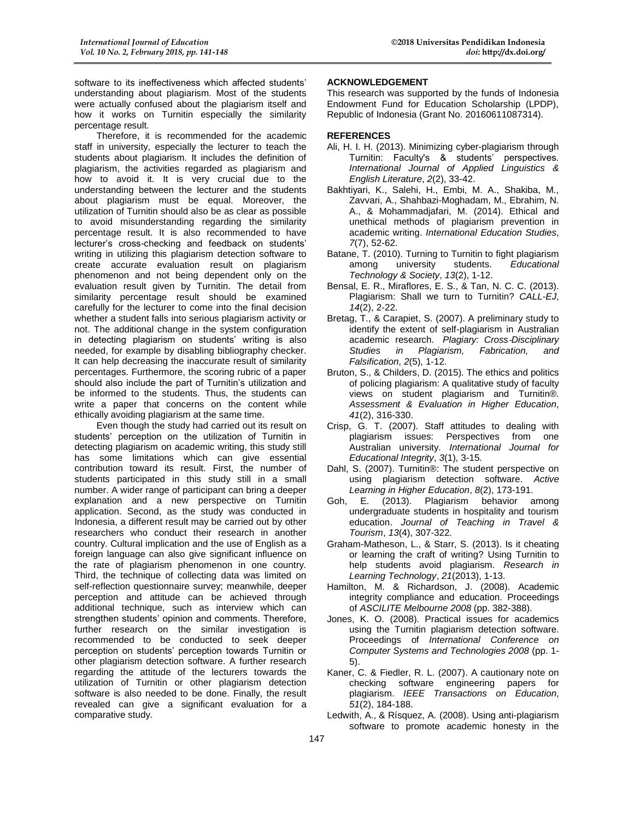software to its ineffectiveness which affected students' understanding about plagiarism. Most of the students were actually confused about the plagiarism itself and how it works on Turnitin especially the similarity percentage result.

Therefore, it is recommended for the academic staff in university, especially the lecturer to teach the students about plagiarism. It includes the definition of plagiarism, the activities regarded as plagiarism and how to avoid it. It is very crucial due to the understanding between the lecturer and the students about plagiarism must be equal. Moreover, the utilization of Turnitin should also be as clear as possible to avoid misunderstanding regarding the similarity percentage result. It is also recommended to have lecturer's cross-checking and feedback on students' writing in utilizing this plagiarism detection software to create accurate evaluation result on plagiarism phenomenon and not being dependent only on the evaluation result given by Turnitin. The detail from similarity percentage result should be examined carefully for the lecturer to come into the final decision whether a student falls into serious plagiarism activity or not. The additional change in the system configuration in detecting plagiarism on students' writing is also needed, for example by disabling bibliography checker. It can help decreasing the inaccurate result of similarity percentages. Furthermore, the scoring rubric of a paper should also include the part of Turnitin's utilization and be informed to the students. Thus, the students can write a paper that concerns on the content while ethically avoiding plagiarism at the same time.

Even though the study had carried out its result on students' perception on the utilization of Turnitin in detecting plagiarism on academic writing, this study still has some limitations which can give essential contribution toward its result. First, the number of students participated in this study still in a small number. A wider range of participant can bring a deeper explanation and a new perspective on Turnitin application. Second, as the study was conducted in Indonesia, a different result may be carried out by other researchers who conduct their research in another country. Cultural implication and the use of English as a foreign language can also give significant influence on the rate of plagiarism phenomenon in one country. Third, the technique of collecting data was limited on self-reflection questionnaire survey; meanwhile, deeper perception and attitude can be achieved through additional technique, such as interview which can strengthen students' opinion and comments. Therefore, further research on the similar investigation is recommended to be conducted to seek deeper perception on students' perception towards Turnitin or other plagiarism detection software. A further research regarding the attitude of the lecturers towards the utilization of Turnitin or other plagiarism detection software is also needed to be done. Finally, the result revealed can give a significant evaluation for a comparative study.

## **ACKNOWLEDGEMENT**

This research was supported by the funds of Indonesia Endowment Fund for Education Scholarship (LPDP), Republic of Indonesia (Grant No. 20160611087314).

### **REFERENCES**

- Ali, H. I. H. (2013). Minimizing cyber-plagiarism through Turnitin: Faculty's & students' perspectives. *International Journal of Applied Linguistics & English Literature*, *2*(2), 33-42.
- Bakhtiyari, K., Salehi, H., Embi, M. A., Shakiba, M., Zavvari, A., Shahbazi-Moghadam, M., Ebrahim, N. A., & Mohammadjafari, M. (2014). Ethical and unethical methods of plagiarism prevention in academic writing. *International Education Studies*, *7*(7), 52-62.
- Batane, T. (2010). Turning to Turnitin to fight plagiarism among university students. *Educational Technology & Society*, *13*(2), 1-12.
- Bensal, E. R., Miraflores, E. S., & Tan, N. C. C. (2013). Plagiarism: Shall we turn to Turnitin? *CALL-EJ*, *14*(2), 2-22.
- Bretag, T., & Carapiet, S. (2007). A preliminary study to identify the extent of self-plagiarism in Australian academic research. *Plagiary: Cross*‐*Disciplinary Studies in Plagiarism, Fabrication, and Falsification*, *2*(5), 1‐12.
- Bruton, S., & Childers, D. (2015). The ethics and politics of policing plagiarism: A qualitative study of faculty views on student plagiarism and Turnitin®. *Assessment & Evaluation in Higher Education*, *41*(2), 316-330.
- Crisp, G. T. (2007). Staff attitudes to dealing with plagiarism issues: Perspectives from one Australian university. *International Journal for Educational Integrity*, *3*(1), 3-15.
- Dahl, S. (2007). Turnitin®: The student perspective on using plagiarism detection software. *Active Learning in Higher Education*, *8*(2), 173-191.
- Goh, E. (2013). Plagiarism behavior among undergraduate students in hospitality and tourism education. *Journal of Teaching in Travel & Tourism*, *13*(4), 307-322.
- Graham-Matheson, L., & Starr, S. (2013). Is it cheating or learning the craft of writing? Using Turnitin to help students avoid plagiarism. *Research in Learning Technology*, *21*(2013), 1-13.
- Hamilton, M. & Richardson, J. (2008). Academic integrity compliance and education. Proceedings of *ASCILITE Melbourne 2008* (pp. 382-388).
- Jones, K. O. (2008). Practical issues for academics using the Turnitin plagiarism detection software. Proceedings of *International Conference on Computer Systems and Technologies 2008* (pp. 1- 5).
- Kaner, C. & Fiedler, R. L. (2007). A cautionary note on checking software engineering papers for plagiarism. *IEEE Transactions on Education*, *51*(2), 184-188.
- Ledwith, A., & Rísquez, A. (2008). Using anti-plagiarism software to promote academic honesty in the